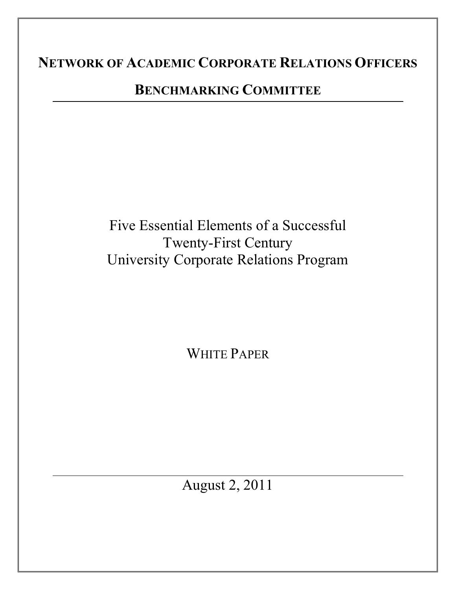# **NETWORK OF ACADEMIC CORPORATE RELATIONS OFFICERS**

## **BENCHMARKING COMMITTEE**

Five Essential Elements of a Successful Twenty-First Century University Corporate Relations Program

WHITE PAPER

August 2, 2011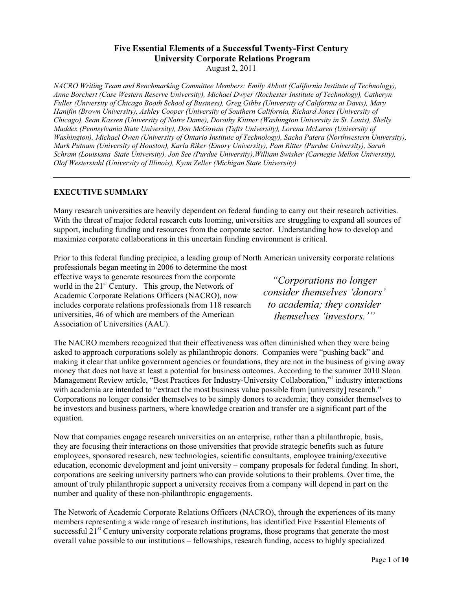## **Five Essential Elements of a Successful Twenty-First Century University Corporate Relations Program**

August 2, 2011

*NACRO Writing Team and Benchmarking Committee Members: Emily Abbott (California Institute of Technology), Anne Borchert (Case Western Reserve University), Michael Dwyer (Rochester Institute of Technology), Catheryn Fuller (University of Chicago Booth School of Business), Greg Gibbs (University of California at Davis), Mary Hanifin (Brown University), Ashley Cooper (University of Southern California, Richard Jones (University of Chicago), Sean Kassen (University of Notre Dame), Dorothy Kittner (Washington University in St. Louis), Shelly Maddex (Pennsylvania State University), Don McGowan (Tufts University), Lorena McLaren (University of Washington), Michael Owen (University of Ontario Institute of Technology), Sacha Patera (Northwestern University), Mark Putnam (University of Houston), Karla Riker (Emory University), Pam Ritter (Purdue University), Sarah Schram (Louisiana State University), Jon See (Purdue University),William Swisher (Carnegie Mellon University), Olof Westerstahl (University of Illinois), Kyan Zeller (Michigan State University)* 

#### **EXECUTIVE SUMMARY**

Many research universities are heavily dependent on federal funding to carry out their research activities. With the threat of major federal research cuts looming, universities are struggling to expand all sources of support, including funding and resources from the corporate sector. Understanding how to develop and maximize corporate collaborations in this uncertain funding environment is critical.

Prior to this federal funding precipice, a leading group of North American university corporate relations professionals began meeting in 2006 to determine the most

effective ways to generate resources from the corporate world in the  $21<sup>st</sup>$  Century. This group, the Network of Academic Corporate Relations Officers (NACRO), now includes corporate relations professionals from 118 research universities, 46 of which are members of the American Association of Universities (AAU).

*"Corporations no longer consider themselves 'donors' to academia; they consider themselves 'investors.'"* 

The NACRO members recognized that their effectiveness was often diminished when they were being asked to approach corporations solely as philanthropic donors. Companies were "pushing back" and making it clear that unlike government agencies or foundations, they are not in the business of giving away money that does not have at least a potential for business outcomes. According to the summer 2010 Sloan Management Review article, "Best Practices for Industry-University Collaboration,"<sup>1</sup> industry interactions with academia are intended to "extract the most business value possible from [university] research." Corporations no longer consider themselves to be simply donors to academia; they consider themselves to be investors and business partners, where knowledge creation and transfer are a significant part of the equation.

Now that companies engage research universities on an enterprise, rather than a philanthropic, basis, they are focusing their interactions on those universities that provide strategic benefits such as future employees, sponsored research, new technologies, scientific consultants, employee training/executive education, economic development and joint university – company proposals for federal funding. In short, corporations are seeking university partners who can provide solutions to their problems. Over time, the amount of truly philanthropic support a university receives from a company will depend in part on the number and quality of these non-philanthropic engagements.

The Network of Academic Corporate Relations Officers (NACRO), through the experiences of its many members representing a wide range of research institutions, has identified Five Essential Elements of successful 21<sup>st</sup> Century university corporate relations programs, those programs that generate the most overall value possible to our institutions – fellowships, research funding, access to highly specialized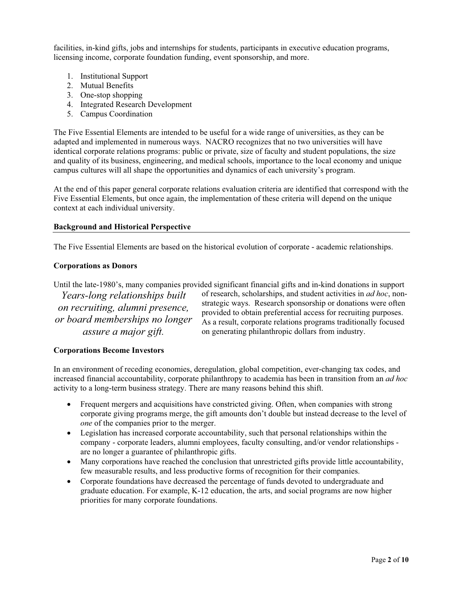facilities, in-kind gifts, jobs and internships for students, participants in executive education programs, licensing income, corporate foundation funding, event sponsorship, and more.

- 1. Institutional Support
- 2. Mutual Benefits
- 3. One-stop shopping
- 4. Integrated Research Development
- 5. Campus Coordination

The Five Essential Elements are intended to be useful for a wide range of universities, as they can be adapted and implemented in numerous ways. NACRO recognizes that no two universities will have identical corporate relations programs: public or private, size of faculty and student populations, the size and quality of its business, engineering, and medical schools, importance to the local economy and unique campus cultures will all shape the opportunities and dynamics of each university's program.

At the end of this paper general corporate relations evaluation criteria are identified that correspond with the Five Essential Elements, but once again, the implementation of these criteria will depend on the unique context at each individual university.

#### **Background and Historical Perspective**

The Five Essential Elements are based on the historical evolution of corporate - academic relationships.

#### **Corporations as Donors**

Until the late-1980's, many companies provided significant financial gifts and in-kind donations in support

*Years-long relationships built on recruiting, alumni presence, or board memberships no longer assure a major gift.* 

of research, scholarships, and student activities in *ad hoc*, nonstrategic ways. Research sponsorship or donations were often provided to obtain preferential access for recruiting purposes. As a result, corporate relations programs traditionally focused on generating philanthropic dollars from industry.

#### **Corporations Become Investors**

In an environment of receding economies, deregulation, global competition, ever-changing tax codes, and increased financial accountability, corporate philanthropy to academia has been in transition from an *ad hoc*  activity to a long-term business strategy. There are many reasons behind this shift.

- Frequent mergers and acquisitions have constricted giving. Often, when companies with strong corporate giving programs merge, the gift amounts don't double but instead decrease to the level of *one* of the companies prior to the merger.
- Legislation has increased corporate accountability, such that personal relationships within the company - corporate leaders, alumni employees, faculty consulting, and/or vendor relationships are no longer a guarantee of philanthropic gifts.
- Many corporations have reached the conclusion that unrestricted gifts provide little accountability, few measurable results, and less productive forms of recognition for their companies.
- Corporate foundations have decreased the percentage of funds devoted to undergraduate and graduate education. For example, K-12 education, the arts, and social programs are now higher priorities for many corporate foundations.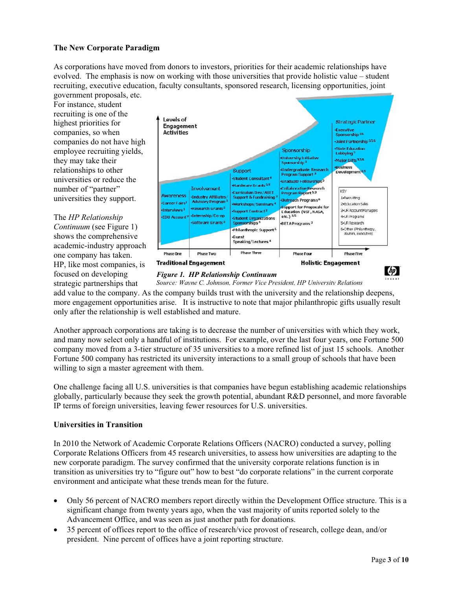#### **The New Corporate Paradigm**

As corporations have moved from donors to investors, priorities for their academic relationships have evolved. The emphasis is now on working with those universities that provide holistic value – student recruiting, executive education, faculty consultants, sponsored research, licensing opportunities, joint government proposals, etc.

For instance, student recruiting is one of the highest priorities for companies, so when companies do not have high employee recruiting yields, they may take their relationships to other universities or reduce the number of "partner" universities they support.

The *HP Relationship Continuum* (see Figure 1) shows the comprehensive academic-industry approach one company has taken. HP, like most companies, is focused on developing strategic partnerships that





*Figure 1. HP Relationship Continuum Source: Wayne C. Johnson, Former Vice President, HP University Relations* 

add value to the company. As the company builds trust with the university and the relationship deepens, more engagement opportunities arise. It is instructive to note that major philanthropic gifts usually result only after the relationship is well established and mature.

Another approach corporations are taking is to decrease the number of universities with which they work, and many now select only a handful of institutions. For example, over the last four years, one Fortune 500 company moved from a 3-tier structure of 35 universities to a more refined list of just 15 schools. Another Fortune 500 company has restricted its university interactions to a small group of schools that have been willing to sign a master agreement with them.

One challenge facing all U.S. universities is that companies have begun establishing academic relationships globally, particularly because they seek the growth potential, abundant R&D personnel, and more favorable IP terms of foreign universities, leaving fewer resources for U.S. universities.

#### **Universities in Transition**

In 2010 the Network of Academic Corporate Relations Officers (NACRO) conducted a survey, polling Corporate Relations Officers from 45 research universities, to assess how universities are adapting to the new corporate paradigm. The survey confirmed that the university corporate relations function is in transition as universities try to "figure out" how to best "do corporate relations" in the current corporate environment and anticipate what these trends mean for the future.

- $\bullet$  Only 56 percent of NACRO members report directly within the Development Office structure. This is a significant change from twenty years ago, when the vast majority of units reported solely to the Advancement Office, and was seen as just another path for donations.
- - 35 percent of offices report to the office of research/vice provost of research, college dean, and/or president. Nine percent of offices have a joint reporting structure.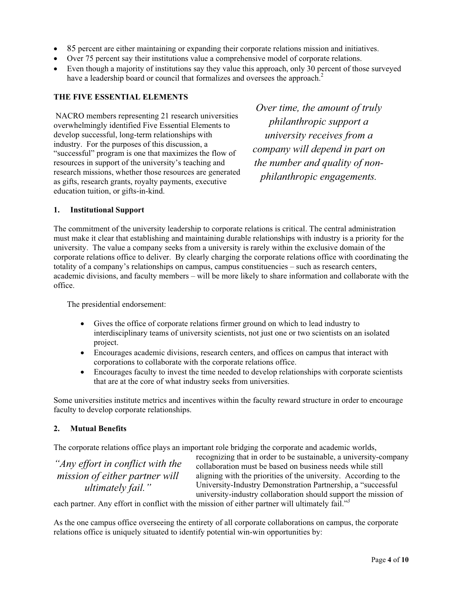- 85 percent are either maintaining or expanding their corporate relations mission and initiatives.
- Over 75 percent say their institutions value a comprehensive model of corporate relations.
- Even though a majority of institutions say they value this approach, only 30 percent of those surveyed have a leadership board or council that formalizes and oversees the approach.<sup>2</sup>

#### **THE FIVE ESSENTIAL ELEMENTS**

 NACRO members representing 21 research universities overwhelmingly identified Five Essential Elements to develop successful, long-term relationships with industry. For the purposes of this discussion, a "successful" program is one that maximizes the flow of resources in support of the university's teaching and research missions, whether those resources are generated as gifts, research grants, royalty payments, executive education tuition, or gifts-in-kind.

*Over time, the amount of truly philanthropic support a university receives from a company will depend in part on the number and quality of nonphilanthropic engagements.*

#### **1. Institutional Support**

The commitment of the university leadership to corporate relations is critical. The central administration must make it clear that establishing and maintaining durable relationships with industry is a priority for the university. The value a company seeks from a university is rarely within the exclusive domain of the corporate relations office to deliver. By clearly charging the corporate relations office with coordinating the totality of a company's relationships on campus, campus constituencies – such as research centers, academic divisions, and faculty members – will be more likely to share information and collaborate with the office.

The presidential endorsement:

- Gives the office of corporate relations firmer ground on which to lead industry to interdisciplinary teams of university scientists, not just one or two scientists on an isolated project.
- Encourages academic divisions, research centers, and offices on campus that interact with corporations to collaborate with the corporate relations office.
- $\bullet$  Encourages faculty to invest the time needed to develop relationships with corporate scientists that are at the core of what industry seeks from universities.

Some universities institute metrics and incentives within the faculty reward structure in order to encourage faculty to develop corporate relationships.

#### **2. Mutual Benefits**

The corporate relations office plays an important role bridging the corporate and academic worlds,

*"Any effort in conflict with the mission of either partner will ultimately fail."*

recognizing that in order to be sustainable, a university-company collaboration must be based on business needs while still aligning with the priorities of the university. According to the University-Industry Demonstration Partnership, a "successful university-industry collaboration should support the mission of

each partner. Any effort in conflict with the mission of either partner will ultimately fail."*<sup>3</sup>*

As the one campus office overseeing the entirety of all corporate collaborations on campus, the corporate relations office is uniquely situated to identify potential win-win opportunities by: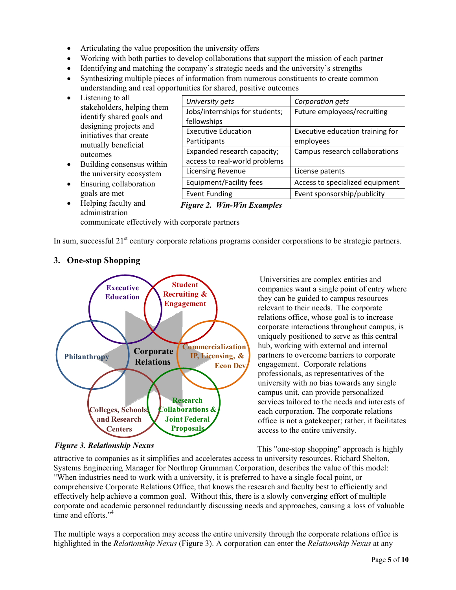- Articulating the value proposition the university offers
- Working with both parties to develop collaborations that support the mission of each partner
- Identifying and matching the company's strategic needs and the university's strengths
- Synthesizing multiple pieces of information from numerous constituents to create common understanding and real opportunities for shared, positive outcomes
- Listening to all stakeholders, helping them identify shared goals and designing projects and initiatives that create mutually beneficial outcomes
- Building consensus within the university ecosystem
- Ensuring collaboration goals are met
- Helping faculty and administration
- *University-gets-*Jobs/internships-for-students;-  *Corporation-gets-*Future-employees/recruiting Corporation gets fellowships-Executive Education **Participants** Executive education training for employees Expanded research capacity; access to real-world problems Campus research collaborations Licensing Revenue **License** patents Equipment/Facilityfees | Access to specialized equipment Event Funding The Revent Event sponsorship/publicity

#### *Figure 2. Win-Win Examples*

communicate effectively with corporate partners

In sum, successful 21<sup>st</sup> century corporate relations programs consider corporations to be strategic partners.



### **3. One-stop Shopping**

they can be guided to campus resources relevant to their needs. The corporate relations office, whose goal is to increase corporate interactions throughout campus, is uniquely positioned to serve as this central hub, working with external and internal partners to overcome barriers to corporate engagement. Corporate relations professionals, as representatives of the university with no bias towards any single campus unit, can provide personalized services tailored to the needs and interests of each corporation. The corporate relations office is not a gatekeeper; rather, it facilitates access to the entire university.

Universities are complex entities and

companies want a single point of entry where

This "one-stop shopping" approach is highly

attractive to companies as it simplifies and accelerates access to university resources. Richard Shelton, Systems Engineering Manager for Northrop Grumman Corporation, describes the value of this model: "When industries need to work with a university, it is preferred to have a single focal point, or comprehensive Corporate Relations Office, that knows the research and faculty best to efficiently and effectively help achieve a common goal. Without this, there is a slowly converging effort of multiple corporate and academic personnel redundantly discussing needs and approaches, causing a loss of valuable time and efforts."<sup>4</sup> *Figure 3. Relationship Nexus* 

The multiple ways a corporation may access the entire university through the corporate relations office is highlighted in the *Relationship Nexus* (Figure 3). A corporation can enter the *Relationship Nexus* at any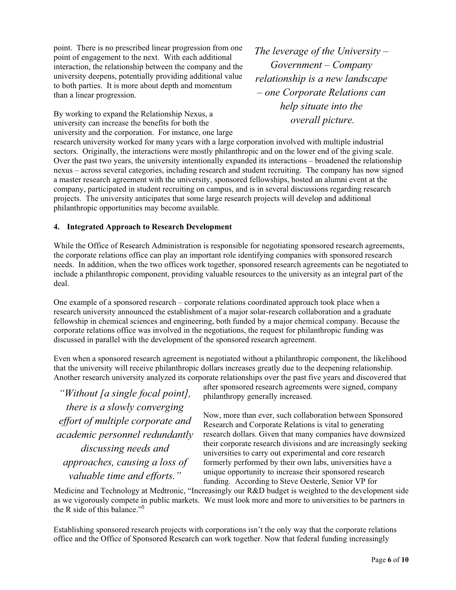point. There is no prescribed linear progression from one point of engagement to the next. With each additional interaction, the relationship between the company and the university deepens, potentially providing additional value to both parties. It is more about depth and momentum than a linear progression.

By working to expand the Relationship Nexus, a university can increase the benefits for both the university and the corporation. For instance, one large *The leverage of the University – Government – Company relationship is a new landscape – one Corporate Relations can help situate into the overall picture.* 

research university worked for many years with a large corporation involved with multiple industrial sectors. Originally, the interactions were mostly philanthropic and on the lower end of the giving scale. Over the past two years, the university intentionally expanded its interactions – broadened the relationship nexus – across several categories, including research and student recruiting. The company has now signed a master research agreement with the university, sponsored fellowships, hosted an alumni event at the company, participated in student recruiting on campus, and is in several discussions regarding research projects. The university anticipates that some large research projects will develop and additional philanthropic opportunities may become available.

#### **4. Integrated Approach to Research Development**

While the Office of Research Administration is responsible for negotiating sponsored research agreements, the corporate relations office can play an important role identifying companies with sponsored research needs. In addition, when the two offices work together, sponsored research agreements can be negotiated to include a philanthropic component, providing valuable resources to the university as an integral part of the deal.

One example of a sponsored research – corporate relations coordinated approach took place when a research university announced the establishment of a major solar-research collaboration and a graduate fellowship in chemical sciences and engineering, both funded by a major chemical company. Because the corporate relations office was involved in the negotiations, the request for philanthropic funding was discussed in parallel with the development of the sponsored research agreement.

Even when a sponsored research agreement is negotiated without a philanthropic component, the likelihood that the university will receive philanthropic dollars increases greatly due to the deepening relationship. Another research university analyzed its corporate relationships over the past five years and discovered that

*"Without [a single focal point], there is a slowly converging effort of multiple corporate and academic personnel redundantly discussing needs and approaches, causing a loss of valuable time and efforts."*

after sponsored research agreements were signed, company philanthropy generally increased.

Now, more than ever, such collaboration between Sponsored Research and Corporate Relations is vital to generating research dollars. Given that many companies have downsized their corporate research divisions and are increasingly seeking universities to carry out experimental and core research formerly performed by their own labs, universities have a unique opportunity to increase their sponsored research funding. According to Steve Oesterle, Senior VP for

Medicine and Technology at Medtronic, "Increasingly our R&D budget is weighted to the development side as we vigorously compete in public markets. We must look more and more to universities to be partners in the R side of this balance."<sup>5</sup>

Establishing sponsored research projects with corporations isn't the only way that the corporate relations office and the Office of Sponsored Research can work together. Now that federal funding increasingly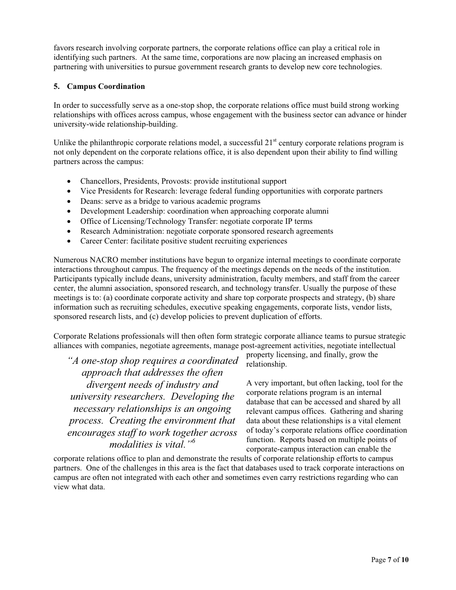favors research involving corporate partners, the corporate relations office can play a critical role in identifying such partners. At the same time, corporations are now placing an increased emphasis on partnering with universities to pursue government research grants to develop new core technologies.

#### **5. Campus Coordination**

In order to successfully serve as a one-stop shop, the corporate relations office must build strong working relationships with offices across campus, whose engagement with the business sector can advance or hinder university-wide relationship-building.

Unlike the philanthropic corporate relations model, a successful  $21<sup>st</sup>$  century corporate relations program is not only dependent on the corporate relations office, it is also dependent upon their ability to find willing partners across the campus:

- Chancellors, Presidents, Provosts: provide institutional support
- Vice Presidents for Research: leverage federal funding opportunities with corporate partners
- Deans: serve as a bridge to various academic programs
- Development Leadership: coordination when approaching corporate alumni
- Office of Licensing/Technology Transfer: negotiate corporate IP terms
- Research Administration: negotiate corporate sponsored research agreements
- $\bullet$ Career Center: facilitate positive student recruiting experiences

Numerous NACRO member institutions have begun to organize internal meetings to coordinate corporate interactions throughout campus. The frequency of the meetings depends on the needs of the institution. Participants typically include deans, university administration, faculty members, and staff from the career center, the alumni association, sponsored research, and technology transfer. Usually the purpose of these meetings is to: (a) coordinate corporate activity and share top corporate prospects and strategy, (b) share information such as recruiting schedules, executive speaking engagements, corporate lists, vendor lists, sponsored research lists, and (c) develop policies to prevent duplication of efforts.

Corporate Relations professionals will then often form strategic corporate alliance teams to pursue strategic alliances with companies, negotiate agreements, manage post-agreement activities, negotiate intellectual

*"A one-stop shop requires a coordinated approach that addresses the often divergent needs of industry and university researchers. Developing the necessary relationships is an ongoing process. Creating the environment that encourages staff to work together across modalities is vital."<sup>6</sup>*

property licensing, and finally, grow the relationship.

A very important, but often lacking, tool for the corporate relations program is an internal database that can be accessed and shared by all relevant campus offices. Gathering and sharing data about these relationships is a vital element of today's corporate relations office coordination function. Reports based on multiple points of corporate-campus interaction can enable the

corporate relations office to plan and demonstrate the results of corporate relationship efforts to campus partners. One of the challenges in this area is the fact that databases used to track corporate interactions on campus are often not integrated with each other and sometimes even carry restrictions regarding who can view what data.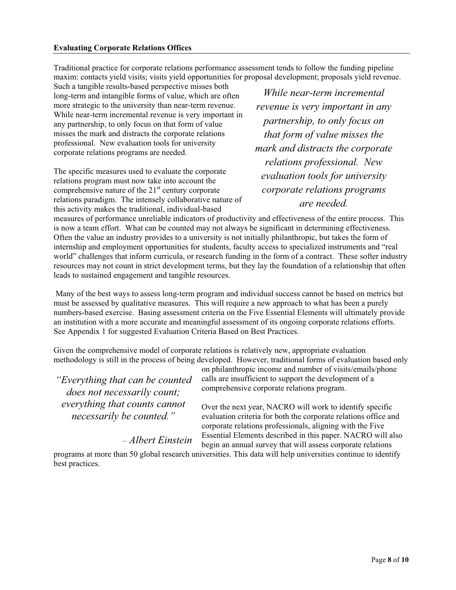Traditional practice for corporate relations performance assessment tends to follow the funding pipeline maxim: contacts yield visits; visits yield opportunities for proposal development; proposals yield revenue.

Such a tangible results-based perspective misses both long-term and intangible forms of value, which are often more strategic to the university than near-term revenue. While near-term incremental revenue is very important in any partnership, to only focus on that form of value misses the mark and distracts the corporate relations professional. New evaluation tools for university corporate relations programs are needed.

The specific measures used to evaluate the corporate relations program must now take into account the comprehensive nature of the  $21<sup>st</sup>$  century corporate relations paradigm. The intensely collaborative nature of this activity makes the traditional, individual-based

*While near-term incremental revenue is very important in any partnership, to only focus on that form of value misses the mark and distracts the corporate relations professional. New evaluation tools for university corporate relations programs are needed.*

measures of performance unreliable indicators of productivity and effectiveness of the entire process. This is now a team effort. What can be counted may not always be significant in determining effectiveness. Often the value an industry provides to a university is not initially philanthropic, but takes the form of internship and employment opportunities for students, faculty access to specialized instruments and "real world" challenges that inform curricula, or research funding in the form of a contract. These softer industry resources may not count in strict development terms, but they lay the foundation of a relationship that often leads to sustained engagement and tangible resources.

 Many of the best ways to assess long-term program and individual success cannot be based on metrics but must be assessed by qualitative measures. This will require a new approach to what has been a purely numbers-based exercise. Basing assessment criteria on the Five Essential Elements will ultimately provide an institution with a more accurate and meaningful assessment of its ongoing corporate relations efforts. See Appendix 1 for suggested Evaluation Criteria Based on Best Practices.

Given the comprehensive model of corporate relations is relatively new, appropriate evaluation methodology is still in the process of being developed. However, traditional forms of evaluation based only

*"Everything that can be counted does not necessarily count; everything that counts cannot necessarily be counted."* 

– *Albert Einstein*

on philanthropic income and number of visits/emails/phone calls are insufficient to support the development of a comprehensive corporate relations program.

Over the next year, NACRO will work to identify specific evaluation criteria for both the corporate relations office and corporate relations professionals, aligning with the Five Essential Elements described in this paper. NACRO will also begin an annual survey that will assess corporate relations

programs at more than 50 global research universities. This data will help universities continue to identify best practices.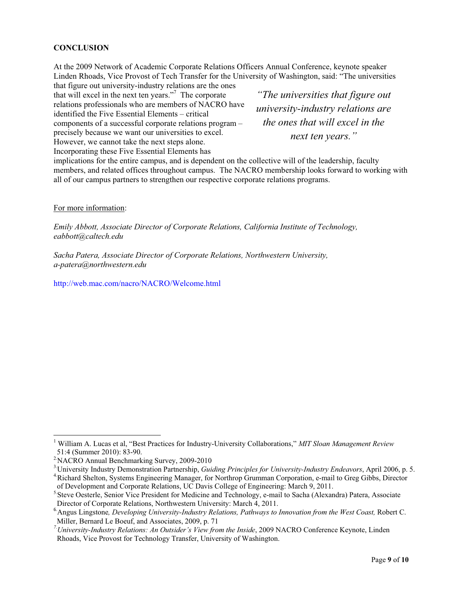#### **CONCLUSION**

At the 2009 Network of Academic Corporate Relations Officers Annual Conference, keynote speaker Linden Rhoads, Vice Provost of Tech Transfer for the University of Washington, said: "The universities

that figure out university-industry relations are the ones that will excel in the next ten years."7 The corporate relations professionals who are members of NACRO have identified the Five Essential Elements – critical components of a successful corporate relations program – precisely because we want our universities to excel. However, we cannot take the next steps alone. Incorporating these Five Essential Elements has

*"The universities that figure out university-industry relations are the ones that will excel in the next ten years."*

implications for the entire campus, and is dependent on the collective will of the leadership, faculty members, and related offices throughout campus. The NACRO membership looks forward to working with all of our campus partners to strengthen our respective corporate relations programs.

For more information:

-----------------------------------------------------------

*Emily Abbott, Associate Director of Corporate Relations, California Institute of Technology, eabbott@caltech.edu* 

*Sacha Patera, Associate Director of Corporate Relations, Northwestern University, a-patera@northwestern.edu* 

http://web.mac.com/nacro/NACRO/Welcome.html

<sup>&</sup>lt;sup>1</sup> William A. Lucas et al, "Best Practices for Industry-University Collaborations," *MIT Sloan Management Review* 51:4 (Summer 2010): 83-90.<br><sup>2</sup> NACRO Annual Benchmarking Survey, 2009-2010

 $3$ -University Industry Demonstration Partnership, *Guiding Principles for University-Industry Endeavors*, April 2006, p. 5.<br> $4$ -Richard Shelton, Systems Engineering Manager, for Northrop Grumman Corporation, e-mail to Gr

of Development and Corporate Relations, UC Davis College of Engineering: March 9, 2011.<br><sup>5.</sup>Steve Oesterle, Senior Vice President for Medicine and Technology, e-mail to Sacha (Alexandra) Patera, Associate<br>Director of Corpo

<sup>&</sup>lt;sup>6</sup> Angus Lingstone, *Developing University-Industry Relations*, Pathways to Innovation from the West Coast, Robert C. Miller, Bernard Le Boeuf, and Associates, 2009, p. 71 *7.University-Industry Relations: An Outsider's View from the Inside*, 2009 NACRO Conference Keynote, Linden

Rhoads, Vice Provost for Technology Transfer, University of Washington.